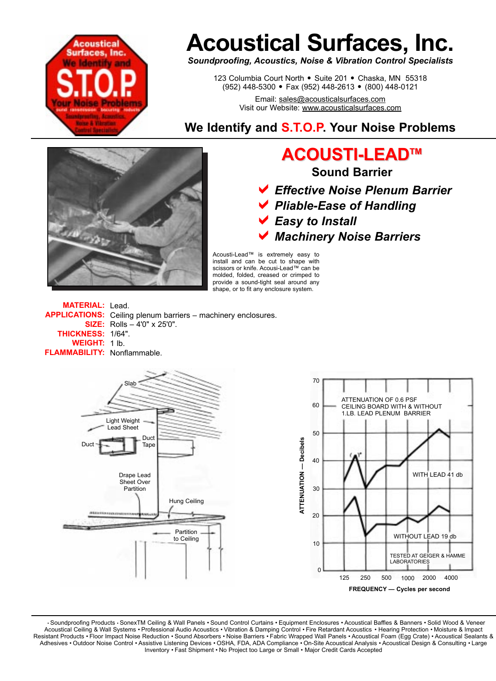

# **Acoustical Surfaces, Inc.**

*Soundproofing, Acoustics, Noise & Vibration Control Specialists*

123 Columbia Court North · Suite 201 · Chaska, MN 55318 (952) 448-5300 <sup>=</sup>Fax (952) 448-2613 <sup>=</sup>(800) 448-0121

> Email: sales@acousticalsurfaces.com Visit our Website: www.acousticalsurfaces.com

## **We Identify and S.T.O.P. Your Noise Problems**



## **ACOUSTI-LEAD ACOUSTI-LEADTMTM**

**Sound Barrier**

- a*Effective Noise Plenum Barrier*
- a*Pliable-Ease of Handling*
- a*Easy to Install*
- a*Machinery Noise Barriers*

Acousti-Lead™ is extremely easy to install and can be cut to shape with scissors or knife. Acousi-Lead™ can be molded, folded, creased or crimped to provide a sound-tight seal around any shape, or to fit any enclosure system.

**MATERIAL:** Lead. APPLICATIONS: Ceiling plenum barriers - machinery enclosures. **SIZE:** Rolls – 4'0" x 25'0". **THICKNESS: 1/64". WEIGHT:** 1 lb. **FLAMMABILITY: Nonflammable.** 



• Soundproofing Products • SonexTM Ceiling & Wall Panels • Sound Control Curtains • Equipment Enclosures • Acoustical Baffles & Banners • Solid Wood & Veneer Acoustical Ceiling & Wall Systems • Professional Audio Acoustics • Vibration & Damping Control • Fire Retardant Acoustics • Hearing Protection • Moisture & Impact Resistant Products • Floor Impact Noise Reduction • Sound Absorbers • Noise Barriers • Fabric Wrapped Wall Panels • Acoustical Foam (Egg Crate) • Acoustical Sealants & Adhesives • Outdoor Noise Control • Assistive Listening Devices • OSHA, FDA, ADA Compliance • On-Site Acoustical Analysis • Acoustical Design & Consulting • Large Inventory • Fast Shipment • No Project too Large or Small • Major Credit Cards Accepted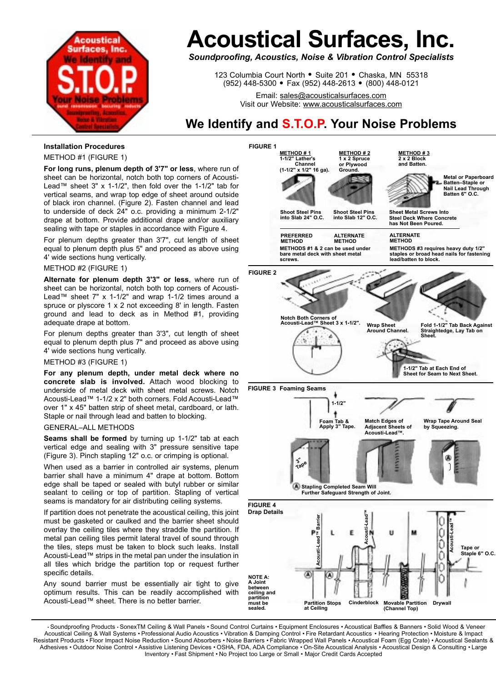

## **Acoustical Surfaces, Inc.**

*Soundproofing, Acoustics, Noise & Vibration Control Specialists*

123 Columbia Court North · Suite 201 · Chaska, MN 55318 (952) 448-5300 <sup>=</sup>Fax (952) 448-2613 <sup>=</sup>(800) 448-0121

> Email: sales@acousticalsurfaces.com Visit our Website: www.acousticalsurfaces.com

### **We Identify and S.T.O.P. Your Noise Problems**

#### **Installation Procedures**

METHOD #1 (FIGURE 1)

**For long runs, plenum depth of 3'7" or less**, where run of sheet can be horizontal, notch both top corners of Acousti-Lead™ sheet 3" x 1-1/2", then fold over the 1-1/2" tab for vertical seams, and wrap top edge of sheet around outside of black iron channel. (Figure 2). Fasten channel and lead to underside of deck 24" o.c. providing a minimum 2-1/2" drape at bottom. Provide additional drape and/or auxiliary sealing with tape or staples in accordance with Figure 4.

For plenum depths greater than 3'7", cut length of sheet equal to plenum depth plus 5" and proceed as above using 4' wide sections hung vertically.

METHOD #2 (FIGURE 1)

**Alternate for plenum depth 3'3" or less**, where run of sheet can be horizontal, notch both top corners of Acousti-Lead™ sheet 7" x 1-1/2" and wrap 1-1/2 times around a spruce or plyscore 1 x 2 not exceeding 8' in length. Fasten ground and lead to deck as in Method #1, providing adequate drape at bottom.

For plenum depths greater than 3'3", cut length of sheet equal to plenum depth plus 7" and proceed as above using 4' wide sections hung vertically.

#### METHOD #3 (FIGURE 1)

**For any plenum depth, under metal deck where no concrete slab is involved.** Attach wood blocking to underside of metal deck with sheet metal screws. Notch Acousti-Lead™ 1-1/2 x 2" both corners. Fold Acousti-Lead™ over 1" x 45" batten strip of sheet metal, cardboard, or lath. Staple or nail through lead and batten to blocking.

#### GENERAL–ALL METHODS

**Seams shall be formed** by turning up 1-1/2" tab at each vertical edge and sealing with 3" pressure sensitive tape (Figure 3). Pinch stapling 12" o.c. or crimping is optional.

When used as a barrier in controlled air systems, plenum barrier shall have a minimum 4" drape at bottom. Bottom edge shall be taped or sealed with butyl rubber or similar sealant to ceiling or top of partition. Stapling of vertical seams is mandatory for air distributing ceiling systems.

If partition does not penetrate the acoustical ceiling, this joint must be gasketed or caulked and the barrier sheet should overlay the ceiling tiles where they straddle the partition. If metal pan ceiling tiles permit lateral travel of sound through the tiles, steps must be taken to block such leaks. Install Acousti-Lead™ strips in the metal pan under the insulation in all tiles which bridge the partition top or request further specific details.

Any sound barrier must be essentially air tight to give optimum results. This can be readily accomplished with Acousti-Lead™ sheet. There is no better barrier.



• Soundproofing Products • SonexTM Ceiling & Wall Panels • Sound Control Curtains • Equipment Enclosures • Acoustical Baffles & Banners • Solid Wood & Veneer Acoustical Ceiling & Wall Systems • Professional Audio Acoustics • Vibration & Damping Control • Fire Retardant Acoustics • Hearing Protection • Moisture & Impact Resistant Products • Floor Impact Noise Reduction • Sound Absorbers • Noise Barriers • Fabric Wrapped Wall Panels • Acoustical Foam (Egg Crate) • Acoustical Sealants & Adhesives • Outdoor Noise Control • Assistive Listening Devices • OSHA, FDA, ADA Compliance • On-Site Acoustical Analysis • Acoustical Design & Consulting • Large Inventory • Fast Shipment • No Project too Large or Small • Major Credit Cards Accepted